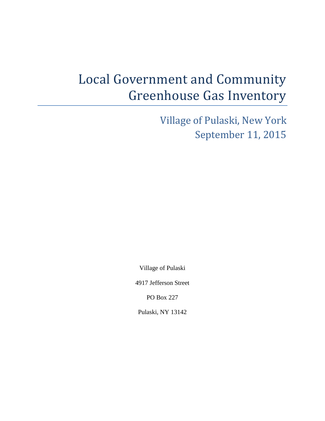# Local Government and Community Greenhouse Gas Inventory

Village of Pulaski, New York September 11, 2015

Village of Pulaski

4917 Jefferson Street

PO Box 227

Pulaski, NY 13142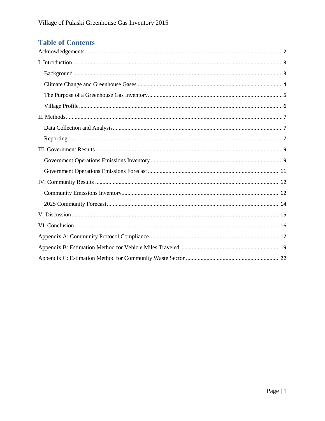## **Table of Contents**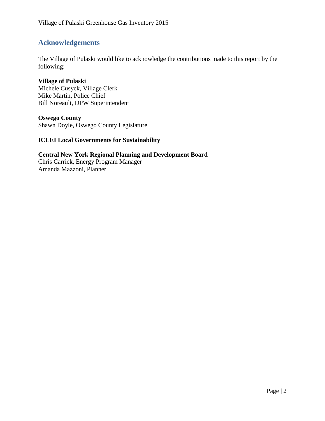## <span id="page-2-0"></span>**Acknowledgements**

The Village of Pulaski would like to acknowledge the contributions made to this report by the following:

**Village of Pulaski** Michele Cusyck, Village Clerk Mike Martin, Police Chief Bill Noreault, DPW Superintendent

**Oswego County** Shawn Doyle, Oswego County Legislature

#### **ICLEI Local Governments for Sustainability**

**Central New York Regional Planning and Development Board** Chris Carrick, Energy Program Manager Amanda Mazzoni, Planner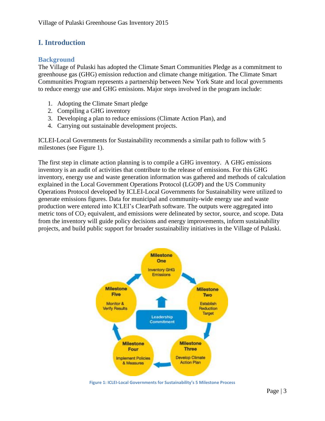## <span id="page-3-0"></span>**I. Introduction**

#### <span id="page-3-1"></span>**Background**

The Village of Pulaski has adopted the Climate Smart Communities Pledge as a commitment to greenhouse gas (GHG) emission reduction and climate change mitigation. The Climate Smart Communities Program represents a partnership between New York State and local governments to reduce energy use and GHG emissions. Major steps involved in the program include:

- 1. Adopting the Climate Smart pledge
- 2. Compiling a GHG inventory
- 3. Developing a plan to reduce emissions (Climate Action Plan), and
- 4. Carrying out sustainable development projects.

ICLEI-Local Governments for Sustainability recommends a similar path to follow with 5 milestones (see Figure 1).

The first step in climate action planning is to compile a GHG inventory. A GHG emissions inventory is an audit of activities that contribute to the release of emissions. For this GHG inventory, energy use and waste generation information was gathered and methods of calculation explained in the Local Government Operations Protocol (LGOP) and the US Community Operations Protocol developed by ICLEI-Local Governments for Sustainability were utilized to generate emissions figures. Data for municipal and community-wide energy use and waste production were entered into ICLEI's ClearPath software. The outputs were aggregated into metric tons of  $CO<sub>2</sub>$  equivalent, and emissions were delineated by sector, source, and scope. Data from the inventory will guide policy decisions and energy improvements, inform sustainability projects, and build public support for broader sustainability initiatives in the Village of Pulaski.



**Figure 1: ICLEI-Local Governments for Sustainability's 5 Milestone Process**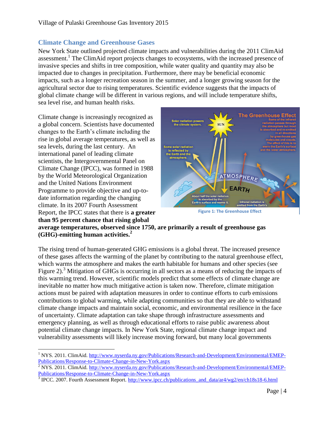#### <span id="page-4-0"></span>**Climate Change and Greenhouse Gases**

New York State outlined projected climate impacts and vulnerabilities during the 2011 ClimAid assessment.<sup>1</sup> The ClimAid report projects changes to ecosystems, with the increased presence of invasive species and shifts in tree composition, while water quality and quantity may also be impacted due to changes in precipitation. Furthermore, there may be beneficial economic impacts, such as a longer recreation season in the summer, and a longer growing season for the agricultural sector due to rising temperatures. Scientific evidence suggests that the impacts of global climate change will be different in various regions, and will include temperature shifts, sea level rise, and human health risks.

Climate change is increasingly recognized as a global concern. Scientists have documented changes to the Earth's climate including the rise in global average temperatures, as well as sea levels, during the last century. An international panel of leading climate scientists, the Intergovernmental Panel on Climate Change (IPCC), was formed in 1988 by the World Meteorological Organization and the United Nations Environment Programme to provide objective and up-todate information regarding the changing climate. In its 2007 Fourth Assessment Report, the IPCC states that there is **a greater than 95 percent chance that rising global** 



**Figure 1: The Greenhouse Effect**

**average temperatures, observed since 1750, are primarily a result of greenhouse gas (GHG)-emitting human activities.<sup>2</sup>**

The rising trend of human-generated GHG emissions is a global threat. The increased presence of these gases affects the warming of the planet by contributing to the natural greenhouse effect, which warms the atmosphere and makes the earth habitable for humans and other species (see Figure 2).<sup>3</sup> Mitigation of GHGs is occurring in all sectors as a means of reducing the impacts of this warming trend. However, scientific models predict that some effects of climate change are inevitable no matter how much mitigative action is taken now. Therefore, climate mitigation actions must be paired with adaptation measures in order to continue efforts to curb emissions contributions to global warming, while adapting communities so that they are able to withstand climate change impacts and maintain social, economic, and environmental resilience in the face of uncertainty. Climate adaptation can take shape through infrastructure assessments and emergency planning, as well as through educational efforts to raise public awareness about potential climate change impacts. In New York State, regional climate change impact and vulnerability assessments will likely increase moving forward, but many local governments

 $\overline{a}$ <sup>1</sup> NYS. 2011. ClimAid. [http://www.nyserda.ny.gov/Publications/Research-and-Development/Environmental/EMEP-](http://www.nyserda.ny.gov/Publications/Research-and-Development/Environmental/EMEP-Publications/Response-to-Climate-Change-in-New-York.aspx)[Publications/Response-to-Climate-Change-in-New-York.aspx](http://www.nyserda.ny.gov/Publications/Research-and-Development/Environmental/EMEP-Publications/Response-to-Climate-Change-in-New-York.aspx)

 $\frac{2}{3}$  NYS. 2011. ClimAid. [http://www.nyserda.ny.gov/Publications/Research-and-Development/Environmental/EMEP-](http://www.nyserda.ny.gov/Publications/Research-and-Development/Environmental/EMEP-Publications/Response-to-Climate-Change-in-New-York.aspx)[Publications/Response-to-Climate-Change-in-New-York.aspx](http://www.nyserda.ny.gov/Publications/Research-and-Development/Environmental/EMEP-Publications/Response-to-Climate-Change-in-New-York.aspx)

<sup>&</sup>lt;sup>3</sup> IPCC. 2007. Fourth Assessment Report. [http://www.ipcc.ch/publications\\_and\\_data/ar4/wg2/en/ch18s18-6.html](http://www.ipcc.ch/publications_and_data/ar4/wg2/en/ch18s18-6.html)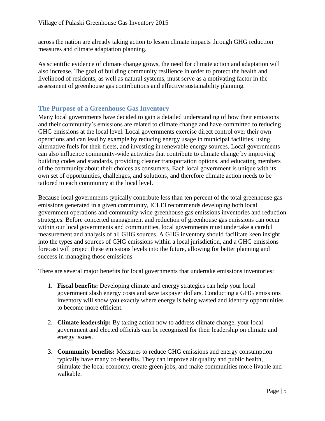across the nation are already taking action to lessen climate impacts through GHG reduction measures and climate adaptation planning.

As scientific evidence of climate change grows, the need for climate action and adaptation will also increase. The goal of building community resilience in order to protect the health and livelihood of residents, as well as natural systems, must serve as a motivating factor in the assessment of greenhouse gas contributions and effective sustainability planning.

#### <span id="page-5-0"></span>**The Purpose of a Greenhouse Gas Inventory**

Many local governments have decided to gain a detailed understanding of how their emissions and their community's emissions are related to climate change and have committed to reducing GHG emissions at the local level. Local governments exercise direct control over their own operations and can lead by example by reducing energy usage in municipal facilities, using alternative fuels for their fleets, and investing in renewable energy sources. Local governments can also influence community-wide activities that contribute to climate change by improving building codes and standards, providing cleaner transportation options, and educating members of the community about their choices as consumers. Each local government is unique with its own set of opportunities, challenges, and solutions, and therefore climate action needs to be tailored to each community at the local level.

Because local governments typically contribute less than ten percent of the total greenhouse gas emissions generated in a given community, ICLEI recommends developing both local government operations and community-wide greenhouse gas emissions inventories and reduction strategies. Before concerted management and reduction of greenhouse gas emissions can occur within our local governments and communities, local governments must undertake a careful measurement and analysis of all GHG sources. A GHG inventory should facilitate keen insight into the types and sources of GHG emissions within a local jurisdiction, and a GHG emissions forecast will project these emissions levels into the future, allowing for better planning and success in managing those emissions.

There are several major benefits for local governments that undertake emissions inventories:

- 1. **Fiscal benefits:** Developing climate and energy strategies can help your local government slash energy costs and save taxpayer dollars. Conducting a GHG emissions inventory will show you exactly where energy is being wasted and identify opportunities to become more efficient.
- 2. **Climate leadership:** By taking action now to address climate change, your local government and elected officials can be recognized for their leadership on climate and energy issues.
- 3. **Community benefits:** Measures to reduce GHG emissions and energy consumption typically have many co-benefits. They can improve air quality and public health, stimulate the local economy, create green jobs, and make communities more livable and walkable.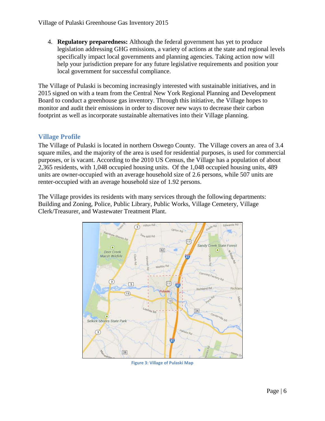4. **Regulatory preparedness:** Although the federal government has yet to produce legislation addressing GHG emissions, a variety of actions at the state and regional levels specifically impact local governments and planning agencies. Taking action now will help your jurisdiction prepare for any future legislative requirements and position your local government for successful compliance.

The Village of Pulaski is becoming increasingly interested with sustainable initiatives, and in 2015 signed on with a team from the Central New York Regional Planning and Development Board to conduct a greenhouse gas inventory. Through this initiative, the Village hopes to monitor and audit their emissions in order to discover new ways to decrease their carbon footprint as well as incorporate sustainable alternatives into their Village planning.

#### <span id="page-6-0"></span>**Village Profile**

The Village of Pulaski is located in northern Oswego County. The Village covers an area of 3.4 square miles, and the majority of the area is used for residential purposes, is used for commercial purposes, or is vacant. According to the 2010 US Census, the Village has a population of about 2,365 residents, with 1,048 occupied housing units. Of the 1,048 occupied housing units, 489 units are owner-occupied with an average household size of 2.6 persons, while 507 units are renter-occupied with an average household size of 1.92 persons.

The Village provides its residents with many services through the following departments: Building and Zoning, Police, Public Library, Public Works, Village Cemetery, Village Clerk/Treasurer, and Wastewater Treatment Plant.



**Figure 3: Village of Pulaski Map**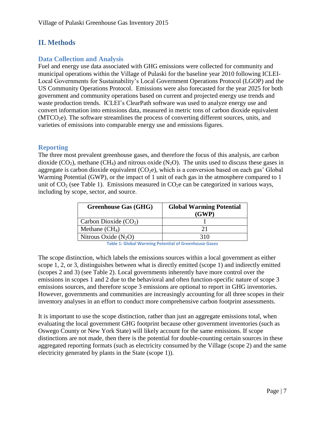## <span id="page-7-0"></span>**II. Methods**

#### <span id="page-7-1"></span>**Data Collection and Analysis**

Fuel and energy use data associated with GHG emissions were collected for community and municipal operations within the Village of Pulaski for the baseline year 2010 following ICLEI-Local Governments for Sustainability's Local Government Operations Protocol (LGOP) and the US Community Operations Protocol. Emissions were also forecasted for the year 2025 for both government and community operations based on current and projected energy use trends and waste production trends. ICLEI's ClearPath software was used to analyze energy use and convert information into emissions data, measured in metric tons of carbon dioxide equivalent  $(MTCO<sub>2</sub>e)$ . The software streamlines the process of converting different sources, units, and varieties of emissions into comparable energy use and emissions figures.

#### <span id="page-7-2"></span>**Reporting**

The three most prevalent greenhouse gases, and therefore the focus of this analysis, are carbon dioxide  $(CO_2)$ , methane  $(CH_4)$  and nitrous oxide  $(N_2O)$ . The units used to discuss these gases in aggregate is carbon dioxide equivalent  $(CO<sub>2</sub>e)$ , which is a conversion based on each gas' Global Warming Potential (GWP), or the impact of 1 unit of each gas in the atmosphere compared to 1 unit of  $CO<sub>2</sub>$  (see Table 1). Emissions measured in  $CO<sub>2</sub>e$  can be categorized in various ways, including by scope, sector, and source.

| <b>Greenhouse Gas (GHG)</b> | <b>Global Warming Potential</b><br>(GWP) |
|-----------------------------|------------------------------------------|
| Carbon Dioxide $(CO2)$      |                                          |
| Methane $(CH_4)$            | ን 1                                      |
| Nitrous Oxide $(N_2O)$      | 310                                      |

**Table 1: Global Warming Potential of Greenhouse Gases**

The scope distinction, which labels the emissions sources within a local government as either scope 1, 2, or 3, distinguishes between what is directly emitted (scope 1) and indirectly emitted (scopes 2 and 3) (see Table 2). Local governments inherently have more control over the emissions in scopes 1 and 2 due to the behavioral and often function-specific nature of scope 3 emissions sources, and therefore scope 3 emissions are optional to report in GHG inventories. However, governments and communities are increasingly accounting for all three scopes in their inventory analyses in an effort to conduct more comprehensive carbon footprint assessments.

It is important to use the scope distinction, rather than just an aggregate emissions total, when evaluating the local government GHG footprint because other government inventories (such as Oswego County or New York State) will likely account for the same emissions. If scope distinctions are not made, then there is the potential for double-counting certain sources in these aggregated reporting formats (such as electricity consumed by the Village (scope 2) and the same electricity generated by plants in the State (scope 1)).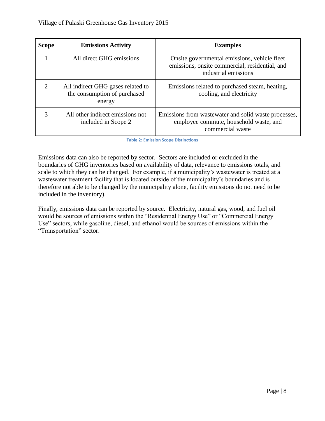| <b>Scope</b>                | <b>Emissions Activity</b>                                                   | <b>Examples</b>                                                                                                        |
|-----------------------------|-----------------------------------------------------------------------------|------------------------------------------------------------------------------------------------------------------------|
|                             | All direct GHG emissions                                                    | Onsite governmental emissions, vehicle fleet<br>emissions, onsite commercial, residential, and<br>industrial emissions |
| $\mathcal{D}_{\mathcal{L}}$ | All indirect GHG gases related to<br>the consumption of purchased<br>energy | Emissions related to purchased steam, heating,<br>cooling, and electricity                                             |
|                             | All other indirect emissions not<br>included in Scope 2                     | Emissions from was tewater and solid was te processes,<br>employee commute, household waste, and<br>commercial waste   |

**Table 2: Emission Scope Distinctions**

Emissions data can also be reported by sector. Sectors are included or excluded in the boundaries of GHG inventories based on availability of data, relevance to emissions totals, and scale to which they can be changed. For example, if a municipality's wastewater is treated at a wastewater treatment facility that is located outside of the municipality's boundaries and is therefore not able to be changed by the municipality alone, facility emissions do not need to be included in the inventory).

Finally, emissions data can be reported by source. Electricity, natural gas, wood, and fuel oil would be sources of emissions within the "Residential Energy Use" or "Commercial Energy Use" sectors, while gasoline, diesel, and ethanol would be sources of emissions within the "Transportation" sector.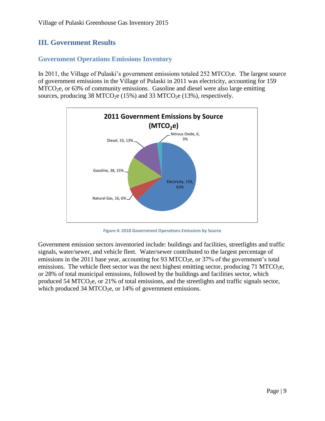## <span id="page-9-0"></span>**III. Government Results**

#### <span id="page-9-1"></span>**Government Operations Emissions Inventory**

In 2011, the Village of Pulaski's government emissions totaled  $252$  MTCO<sub>2</sub>e. The largest source of government emissions in the Village of Pulaski in 2011 was electricity, accounting for 159  $MTCO<sub>2</sub>e$ , or 63% of community emissions. Gasoline and diesel were also large emitting sources, producing  $38 \text{ MTCO}_2$ e (15%) and  $33 \text{ MTCO}_2$ e (13%), respectively.



**Figure 4: 2010 Government Operations Emissions by Source**

Government emission sectors inventoried include: buildings and facilities, streetlights and traffic signals, water/sewer, and vehicle fleet. Water/sewer contributed to the largest percentage of emissions in the 2011 base year, accounting for 93 MTCO<sub>2</sub>e, or  $37\%$  of the government's total emissions. The vehicle fleet sector was the next highest emitting sector, producing  $71 \text{ MTCO}_{2}$ e, or 28% of total municipal emissions, followed by the buildings and facilities sector, which produced 54 MTCO<sub>2</sub>e, or 21% of total emissions, and the streetlights and traffic signals sector, which produced 34 MTCO<sub>2</sub>e, or 14% of government emissions.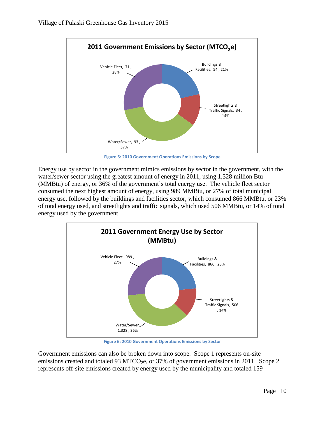

**Figure 5: 2010 Government Operations Emissions by Scope**

Energy use by sector in the government mimics emissions by sector in the government, with the water/sewer sector using the greatest amount of energy in 2011, using 1,328 million Btu (MMBtu) of energy, or 36% of the government's total energy use. The vehicle fleet sector consumed the next highest amount of energy, using 989 MMBtu, or 27% of total municipal energy use, followed by the buildings and facilities sector, which consumed 866 MMBtu, or 23% of total energy used, and streetlights and traffic signals, which used 506 MMBtu, or 14% of total energy used by the government.



**Figure 6: 2010 Government Operations Emissions by Sector**

Government emissions can also be broken down into scope. Scope 1 represents on-site emissions created and totaled 93 MTCO<sub>2</sub>e, or 37% of government emissions in 2011. Scope 2 represents off-site emissions created by energy used by the municipality and totaled 159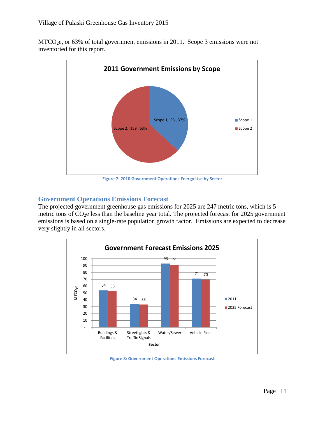MTCO2e, or 63% of total government emissions in 2011. Scope 3 emissions were not inventoried for this report.



**Figure 7: 2010 Government Operations Energy Use by Sector**

#### <span id="page-11-0"></span>**Government Operations Emissions Forecast**

The projected government greenhouse gas emissions for 2025 are 247 metric tons, which is 5 metric tons of  $CO<sub>2</sub>e$  less than the baseline year total. The projected forecast for 2025 government emissions is based on a single-rate population growth factor. Emissions are expected to decrease very slightly in all sectors.



**Figure 8: Government Operations Emissions Forecast**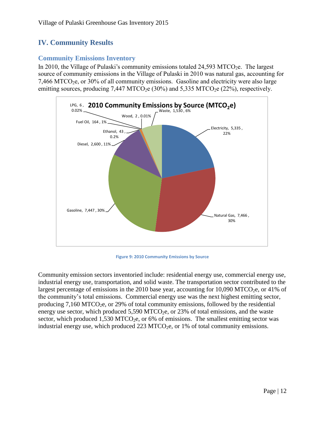## <span id="page-12-0"></span>**IV. Community Results**

#### <span id="page-12-1"></span>**Community Emissions Inventory**

In 2010, the Village of Pulaski's community emissions totaled  $24,593$  MTCO<sub>2</sub>e. The largest source of community emissions in the Village of Pulaski in 2010 was natural gas, accounting for  $7,466$  MTCO<sub>2</sub>e, or 30% of all community emissions. Gasoline and electricity were also large emitting sources, producing 7,447 MTCO<sub>2</sub>e (30%) and 5,335 MTCO<sub>2</sub>e (22%), respectively.



**Figure 9: 2010 Community Emissions by Source**

Community emission sectors inventoried include: residential energy use, commercial energy use, industrial energy use, transportation, and solid waste. The transportation sector contributed to the largest percentage of emissions in the 2010 base year, accounting for 10,090 MTCO<sub>2</sub>e, or 41% of the community's total emissions. Commercial energy use was the next highest emitting sector, producing  $7,160 \,\mathrm{MTCO}_{2}$ e, or  $29\%$  of total community emissions, followed by the residential energy use sector, which produced  $5,590$  MTCO<sub>2</sub>e, or 23% of total emissions, and the waste sector, which produced  $1,530$  MTCO<sub>2</sub>e, or 6% of emissions. The smallest emitting sector was industrial energy use, which produced  $223 \text{ MTCO}_2$ e, or 1% of total community emissions.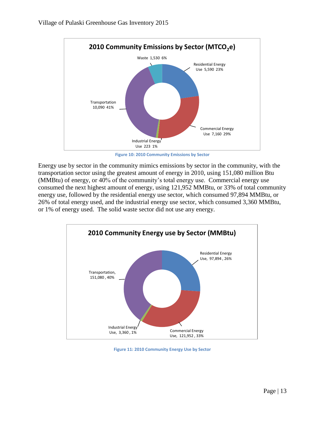

**Figure 10: 2010 Community Emissions by Sector**

Energy use by sector in the community mimics emissions by sector in the community, with the transportation sector using the greatest amount of energy in 2010, using 151,080 million Btu (MMBtu) of energy, or 40% of the community's total energy use. Commercial energy use consumed the next highest amount of energy, using 121,952 MMBtu, or 33% of total community energy use, followed by the residential energy use sector, which consumed 97,894 MMBtu, or 26% of total energy used, and the industrial energy use sector, which consumed 3,360 MMBtu, or 1% of energy used. The solid waste sector did not use any energy.



**Figure 11: 2010 Community Energy Use by Sector**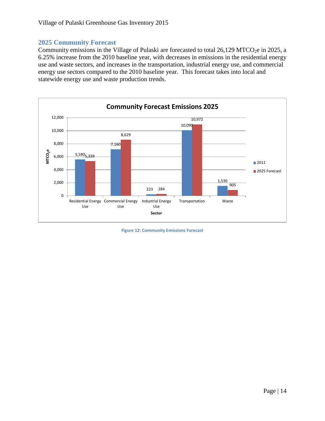#### <span id="page-14-0"></span>**2025 Community Forecast**

Community emissions in the Village of Pulaski are forecasted to total  $26,129$  MTCO<sub>2</sub>e in 2025, a 6.25% increase from the 2010 baseline year, with decreases in emissions in the residential energy use and waste sectors, and increases in the transportation, industrial energy use, and commercial energy use sectors compared to the 2010 baseline year. This forecast takes into local and statewide energy use and waste production trends.



**Figure 12: Community Emissions Forecast**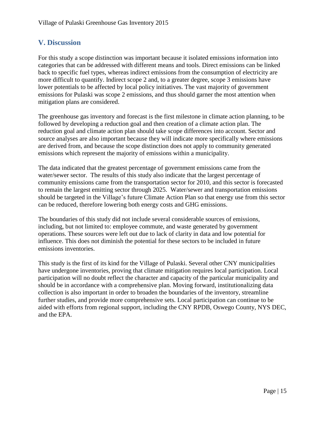## <span id="page-15-0"></span>**V. Discussion**

For this study a scope distinction was important because it isolated emissions information into categories that can be addressed with different means and tools. Direct emissions can be linked back to specific fuel types, whereas indirect emissions from the consumption of electricity are more difficult to quantify. Indirect scope 2 and, to a greater degree, scope 3 emissions have lower potentials to be affected by local policy initiatives. The vast majority of government emissions for Pulaski was scope 2 emissions, and thus should garner the most attention when mitigation plans are considered.

The greenhouse gas inventory and forecast is the first milestone in climate action planning, to be followed by developing a reduction goal and then creation of a climate action plan. The reduction goal and climate action plan should take scope differences into account. Sector and source analyses are also important because they will indicate more specifically where emissions are derived from, and because the scope distinction does not apply to community generated emissions which represent the majority of emissions within a municipality.

The data indicated that the greatest percentage of government emissions came from the water/sewer sector. The results of this study also indicate that the largest percentage of community emissions came from the transportation sector for 2010, and this sector is forecasted to remain the largest emitting sector through 2025. Water/sewer and transportation emissions should be targeted in the Village's future Climate Action Plan so that energy use from this sector can be reduced, therefore lowering both energy costs and GHG emissions.

The boundaries of this study did not include several considerable sources of emissions, including, but not limited to: employee commute, and waste generated by government operations. These sources were left out due to lack of clarity in data and low potential for influence. This does not diminish the potential for these sectors to be included in future emissions inventories.

This study is the first of its kind for the Village of Pulaski. Several other CNY municipalities have undergone inventories, proving that climate mitigation requires local participation. Local participation will no doubt reflect the character and capacity of the particular municipality and should be in accordance with a comprehensive plan. Moving forward, institutionalizing data collection is also important in order to broaden the boundaries of the inventory, streamline further studies, and provide more comprehensive sets. Local participation can continue to be aided with efforts from regional support, including the CNY RPDB, Oswego County, NYS DEC, and the EPA.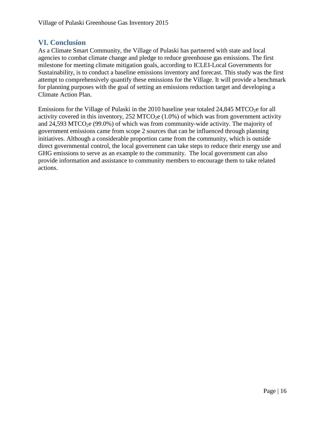#### <span id="page-16-0"></span>**VI. Conclusion**

As a Climate Smart Community, the Village of Pulaski has partnered with state and local agencies to combat climate change and pledge to reduce greenhouse gas emissions. The first milestone for meeting climate mitigation goals, according to ICLEI-Local Governments for Sustainability, is to conduct a baseline emissions inventory and forecast. This study was the first attempt to comprehensively quantify these emissions for the Village. It will provide a benchmark for planning purposes with the goal of setting an emissions reduction target and developing a Climate Action Plan.

Emissions for the Village of Pulaski in the 2010 baseline year totaled  $24,845$  MTCO<sub>2</sub>e for all activity covered in this inventory,  $252 \text{ MTCO}_2$ e (1.0%) of which was from government activity and 24,593 MTCO<sub>2</sub>e (99.0%) of which was from community-wide activity. The majority of government emissions came from scope 2 sources that can be influenced through planning initiatives. Although a considerable proportion came from the community, which is outside direct governmental control, the local government can take steps to reduce their energy use and GHG emissions to serve as an example to the community. The local government can also provide information and assistance to community members to encourage them to take related actions.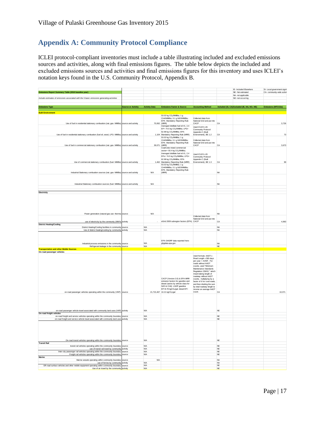## <span id="page-17-0"></span>**Appendix A: Community Protocol Compliance**

ICLEI protocol‐compliant inventories must include a table illustrating included and excluded emissions sources and activities, along with final emissions figures. The table below depicts the included and excluded emissions sources and activities and final emissions figures for this inventory and uses ICLEI's notation keys found in the U.S. Community Protocol, Appendix B.

| Emissions Report Summary Table (2010 baseline year)                                                                                            |                           |                          |                                                                                                                                                                                                      |                                                                                                                                                                                                                                                                                                                                                                                           |                            | IE- Included Elsewhere<br>NF-Not estimated  | SI- Local government signit<br>CA- community-wide activit |
|------------------------------------------------------------------------------------------------------------------------------------------------|---------------------------|--------------------------|------------------------------------------------------------------------------------------------------------------------------------------------------------------------------------------------------|-------------------------------------------------------------------------------------------------------------------------------------------------------------------------------------------------------------------------------------------------------------------------------------------------------------------------------------------------------------------------------------------|----------------------------|---------------------------------------------|-----------------------------------------------------------|
|                                                                                                                                                |                           |                          |                                                                                                                                                                                                      |                                                                                                                                                                                                                                                                                                                                                                                           |                            | NA- not applicable                          |                                                           |
| Include estimates of emissions associated with the 5 basic emissions generating activities                                                     |                           |                          |                                                                                                                                                                                                      |                                                                                                                                                                                                                                                                                                                                                                                           |                            | NO- not occurring                           |                                                           |
| <b>Emissions Type</b>                                                                                                                          | <b>Source or Activity</b> | <b>Activity Data</b>     | <b>Emissions Factor &amp; Source</b>                                                                                                                                                                 | <b>Accounting Method</b>                                                                                                                                                                                                                                                                                                                                                                  |                            | Included (SI, CA) Excluded (IE, NA, NO, NE) | Emissions (MTCO2e)                                        |
|                                                                                                                                                |                           |                          |                                                                                                                                                                                                      |                                                                                                                                                                                                                                                                                                                                                                                           |                            |                                             |                                                           |
| <b>Built Environment</b>                                                                                                                       |                           |                          | 53.02 kg CO <sub>2</sub> /MMBtu; 1 g                                                                                                                                                                 |                                                                                                                                                                                                                                                                                                                                                                                           |                            |                                             |                                                           |
| Use of fuel in residential stationary combustion (nat. gas- MMBtu) source and activity                                                         |                           |                          | CH4/MMBtu; 0.1 g N2O/MMBtu;<br>EPA Mandatory Reporting Rule<br>70,062 (MRR)                                                                                                                          | Collected data from<br>National Grid and put into<br>CACP                                                                                                                                                                                                                                                                                                                                 | CA                         |                                             | 3.726                                                     |
|                                                                                                                                                |                           |                          | Averaged distillate fuel oil #1, 2,4<br>EF= 74.5 kg CO <sub>2</sub> /MMBtu; LPG=                                                                                                                     | Used ICLEI's US<br>Community Protocol                                                                                                                                                                                                                                                                                                                                                     |                            |                                             |                                                           |
| Use of fuel in residential stationary combustion (fuel oil, wood, LPG- MMBtu) source and activity                                              |                           |                          | 62.98 kg CO <sub>2</sub> /MMBtu; EPA<br>1,104 Mandatory Reporting Rule (MRR)<br>53.02 kg CO <sub>2</sub> /MMBtu; 1 g                                                                                 | Appendix C (Built<br>Environment), BE 1.2                                                                                                                                                                                                                                                                                                                                                 | CA                         |                                             | 73                                                        |
| Use of fuel in commercial stationary combustion (nat. gas- MMBtu) source and activity                                                          |                           |                          | CH4/MMBtu: 0.1 a N2O/MMBtu:<br>EPA Mandatory Reporting Rule<br>39,071 (MRR)                                                                                                                          | Collected data from<br>National Grid and put into<br>CACP                                                                                                                                                                                                                                                                                                                                 | CA                         |                                             | 3,673                                                     |
|                                                                                                                                                |                           |                          | Coal/coke mixed commercial<br>sector= 93.4 kg CO <sub>2</sub> /MMBtu;<br>Averaged distillate fuel oil #1, 2,4<br>EFs= 74.5 kg CO2/MMBtu; LPG=                                                        | Used ICLEI's US                                                                                                                                                                                                                                                                                                                                                                           |                            |                                             |                                                           |
| Use of commercial stationary combustion (fuel- MMBtu) source and activity                                                                      |                           |                          | 62.98 kg CO2/MMBtu; EPA<br>1,462 Mandatory Reporting Rule (MRR)                                                                                                                                      | Community Protocol<br>Appendix C (Built<br>Environment), BE 1.3                                                                                                                                                                                                                                                                                                                           | CA                         |                                             | 99                                                        |
|                                                                                                                                                |                           |                          | 53.02 kg CO <sub>2</sub> /MMBtu; 1 g<br>CH4/MMBtu; 0.1 g N2O/MMBtu;<br>EPA Mandatory Reporting Rule                                                                                                  |                                                                                                                                                                                                                                                                                                                                                                                           |                            |                                             |                                                           |
| Industrial Stationary combustion sources (nat. gas- MMBtu) source and activity                                                                 |                           | <b>N/A</b>               | (MRR)                                                                                                                                                                                                |                                                                                                                                                                                                                                                                                                                                                                                           | <b>NA</b>                  |                                             |                                                           |
|                                                                                                                                                |                           |                          |                                                                                                                                                                                                      |                                                                                                                                                                                                                                                                                                                                                                                           |                            |                                             |                                                           |
| Industrial Stationary combustion sources (fuel- MMBtu) source and activity                                                                     |                           | <b>N/A</b>               |                                                                                                                                                                                                      |                                                                                                                                                                                                                                                                                                                                                                                           | <b>NA</b>                  |                                             |                                                           |
| Electricity                                                                                                                                    |                           |                          |                                                                                                                                                                                                      |                                                                                                                                                                                                                                                                                                                                                                                           |                            |                                             |                                                           |
|                                                                                                                                                |                           | <b>N/A</b>               |                                                                                                                                                                                                      |                                                                                                                                                                                                                                                                                                                                                                                           | <b>NA</b>                  |                                             |                                                           |
| Power generation (natural gas use- therms) source                                                                                              |                           |                          |                                                                                                                                                                                                      | Collected data from                                                                                                                                                                                                                                                                                                                                                                       |                            |                                             |                                                           |
| use of electricity by the community (MWh) activity                                                                                             |                           | $\sim$                   | eGrid 2009 subregion factors (EPA) CACP                                                                                                                                                              | National Grid and put into                                                                                                                                                                                                                                                                                                                                                                | CA                         |                                             | 4,963                                                     |
| <b>District Heating/Cooling</b><br>District Heating/Cooling facilities in community source                                                     |                           | <b>N/A</b>               |                                                                                                                                                                                                      |                                                                                                                                                                                                                                                                                                                                                                                           | <b>NA</b>                  |                                             |                                                           |
| Use of district heating/cooling by community activity                                                                                          |                           | <b>N/A</b>               |                                                                                                                                                                                                      |                                                                                                                                                                                                                                                                                                                                                                                           | <b>NA</b>                  |                                             |                                                           |
|                                                                                                                                                |                           |                          | EPA GHGRP data reported here:                                                                                                                                                                        |                                                                                                                                                                                                                                                                                                                                                                                           |                            |                                             |                                                           |
| Industrial process emissions in the community source<br>Refrigerant leakage in the community source                                            |                           | <b>N/A</b><br><b>N/A</b> | ghgdata.epa.gov                                                                                                                                                                                      |                                                                                                                                                                                                                                                                                                                                                                                           | <b>NA</b><br>$N\mathsf{E}$ |                                             |                                                           |
| <b>Transportation and other Mobile Sources</b>                                                                                                 |                           |                          |                                                                                                                                                                                                      |                                                                                                                                                                                                                                                                                                                                                                                           |                            |                                             |                                                           |
| On-road passenger vehicles<br>on-road passenger vehicles operating within the community (VMT) source                                           |                           |                          | CACP (Version 3.0) & EPA MRR<br>emission factors for gasoline and<br>diesel (varies by vehicle class for<br>N2O & CH4): LGOP gasoline<br>EF=8.78 kgCO2/gal; diesel EF=<br>21,715,467 10.21 kgCO2/gal | Used formula: AADT x<br>Road Length x 365 days<br>per year = AVMT. For<br>roads without AADT<br>counts, used "Minimum<br>Maintenance Standards<br>Regulation 239/02," which<br>meant taking length of<br>roadway without AADT<br>counts, multiplying by a<br>factor of 6 for rural roads,<br>and then dividing the sum<br>by total roadway length to<br>receive an average AADT<br>count. | CA                         |                                             | 10,071                                                    |
|                                                                                                                                                |                           |                          |                                                                                                                                                                                                      |                                                                                                                                                                                                                                                                                                                                                                                           |                            |                                             |                                                           |
| on-road passenger vehicle travel associated with community land uses (VMT)<br>On-road freight vehicles                                         | activity                  | N/A                      |                                                                                                                                                                                                      |                                                                                                                                                                                                                                                                                                                                                                                           | $N\mathsf{E}$              |                                             |                                                           |
| on-road freight and service vehicles operating within the community boundary source                                                            |                           | N/A                      |                                                                                                                                                                                                      |                                                                                                                                                                                                                                                                                                                                                                                           | <b>NE</b>                  |                                             |                                                           |
| on-road freight and service vehicle travel associated with community land uses activity                                                        |                           | <b>N/A</b>               |                                                                                                                                                                                                      |                                                                                                                                                                                                                                                                                                                                                                                           | $_{\rm NE}$                |                                             |                                                           |
| On-road transit vehicles operating within the community boundary source                                                                        |                           | <b>N/A</b>               |                                                                                                                                                                                                      |                                                                                                                                                                                                                                                                                                                                                                                           | <b>NE</b>                  |                                             |                                                           |
| <b>Transit Rail</b><br>transit rail vehicles operating within the community boundary source                                                    |                           | <b>N/A</b>               |                                                                                                                                                                                                      |                                                                                                                                                                                                                                                                                                                                                                                           | NE                         |                                             |                                                           |
| use of transit rail travel by community activity<br>Inter-city passenger rail vehicles operating within the community boundary source          |                           | <b>N/A</b><br><b>N/A</b> |                                                                                                                                                                                                      |                                                                                                                                                                                                                                                                                                                                                                                           | $_{\rm NE}$<br><b>NE</b>   |                                             |                                                           |
| Freight rail vehicles operating within the community boundary source                                                                           |                           | <b>N/A</b>               |                                                                                                                                                                                                      |                                                                                                                                                                                                                                                                                                                                                                                           | $_{\rm NE}$                |                                             |                                                           |
| Marine<br>Marine vessels operating within community boundary source                                                                            |                           | ΝA                       |                                                                                                                                                                                                      |                                                                                                                                                                                                                                                                                                                                                                                           | <b>NA</b>                  |                                             |                                                           |
| use of ferries by community activity                                                                                                           |                           | <b>N/A</b>               |                                                                                                                                                                                                      |                                                                                                                                                                                                                                                                                                                                                                                           | <b>NA</b>                  |                                             |                                                           |
| Off-road surface vehicles and other mobile equipment operating within community boundary source<br>Use of air travel by the community activity |                           | <b>N/A</b><br><b>N/A</b> |                                                                                                                                                                                                      |                                                                                                                                                                                                                                                                                                                                                                                           | NE<br>NF                   |                                             |                                                           |
|                                                                                                                                                |                           |                          |                                                                                                                                                                                                      |                                                                                                                                                                                                                                                                                                                                                                                           |                            |                                             |                                                           |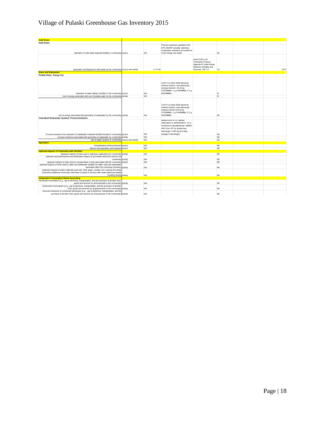## Village of Pulaski Greenhouse Gas Inventory 2015

| <b>Solid Waste</b>                                                                                                                                                                             |            |                                                                      |                                               |           |      |
|------------------------------------------------------------------------------------------------------------------------------------------------------------------------------------------------|------------|----------------------------------------------------------------------|-----------------------------------------------|-----------|------|
| <b>Solid Waste</b>                                                                                                                                                                             |            |                                                                      |                                               |           |      |
|                                                                                                                                                                                                |            | Process emissions reported to the                                    |                                               |           |      |
|                                                                                                                                                                                                |            | EPA GHGRP annually; stationary<br>combustion emissions accounted for |                                               |           |      |
| Operation of solid waste disposal facilities in community source                                                                                                                               | <b>N/A</b> | in the energy use sector                                             |                                               | <b>NA</b> |      |
|                                                                                                                                                                                                |            |                                                                      |                                               |           |      |
|                                                                                                                                                                                                |            |                                                                      |                                               |           |      |
|                                                                                                                                                                                                |            |                                                                      | Used ICLEI's US                               |           |      |
|                                                                                                                                                                                                |            |                                                                      | Community Protocol<br>Appendix E (Solid Waste |           |      |
|                                                                                                                                                                                                |            |                                                                      | Emission Activities and                       |           |      |
| generation and disposal of solid waste by the community source and activity                                                                                                                    | 1,777.65   |                                                                      | Sources), SW 2.2                              | CA        | 2272 |
| <b>Water and Wastewater</b>                                                                                                                                                                    |            |                                                                      |                                               |           |      |
| Potable Water- Energy Use                                                                                                                                                                      |            |                                                                      |                                               |           |      |
|                                                                                                                                                                                                |            |                                                                      |                                               |           |      |
|                                                                                                                                                                                                |            |                                                                      |                                               |           |      |
|                                                                                                                                                                                                |            | CACP 3.0 eGrid 2009 electricity                                      |                                               |           |      |
|                                                                                                                                                                                                |            | emission factors; and natural gas<br>emission factors= 53.02 kg      |                                               |           |      |
|                                                                                                                                                                                                |            | CO2/MMBtu; 1 g CH4/MMBtu; 0.1 g                                      |                                               |           |      |
| Operation of water delivery facilities in the community source                                                                                                                                 | <b>N/A</b> | N2O/MMBtu                                                            |                                               | IE.       |      |
| Use of energy associated with use of potable water by the community activity                                                                                                                   | <b>N/A</b> |                                                                      |                                               | IE        |      |
|                                                                                                                                                                                                |            |                                                                      |                                               |           |      |
|                                                                                                                                                                                                |            |                                                                      |                                               |           |      |
|                                                                                                                                                                                                |            | CACP 3.0 eGrid 2009 electricity                                      |                                               |           |      |
|                                                                                                                                                                                                |            | emission factors; and natural gas                                    |                                               |           |      |
|                                                                                                                                                                                                |            | emission factors=53.02 kg                                            |                                               |           |      |
|                                                                                                                                                                                                |            | CO2/MMBtu; 1 g CH4/MMBtu; 0.1 g                                      |                                               |           |      |
| Use of energy associated with generation of wastewater by the community activity                                                                                                               | N/A        | N2O/MMBtu                                                            |                                               | <b>NE</b> |      |
| <b>Centralized Wastewater Systems- Process Emissions</b>                                                                                                                                       |            | Method WW.8= EF without                                              |                                               |           |      |
|                                                                                                                                                                                                |            | nitrification or denitrification= 3.2 g                              |                                               |           |      |
|                                                                                                                                                                                                |            | N <sub>2</sub> O/person equivalent/year; Method                      |                                               |           |      |
|                                                                                                                                                                                                |            | WW.12a= EF for stream/river                                          |                                               |           |      |
|                                                                                                                                                                                                |            | discharge= 0.005 kg N2O-N/kg                                         |                                               |           |      |
| Process emissions from operation of wastewater treatment facilities located in community source                                                                                                | N/A        | sewage-N discharged                                                  |                                               | <b>NA</b> |      |
| process emissions associated with generation of wastewater by community activity                                                                                                               | N/A        |                                                                      |                                               | <b>NA</b> |      |
| Use of septic systems in community source and activity                                                                                                                                         | N/A        |                                                                      |                                               | <b>NA</b> |      |
| <b>Agriculture</b>                                                                                                                                                                             |            |                                                                      |                                               |           |      |
| Domesticated animal production source                                                                                                                                                          | <b>N/A</b> |                                                                      |                                               | <b>NF</b> |      |
| Manure decomposition and treatment source                                                                                                                                                      | N/A        |                                                                      |                                               | <b>NE</b> |      |
| <b>Upstream Impacts of Community-wide Activities</b>                                                                                                                                           |            |                                                                      |                                               |           |      |
| Upstream impacts of fuels used in stationary applications by community activity                                                                                                                | <b>N/A</b> |                                                                      |                                               | <b>NE</b> |      |
| upstream and transmissions and distribution impacts of purchased electricity used by the                                                                                                       |            |                                                                      |                                               |           |      |
| community activity                                                                                                                                                                             | <b>N/A</b> |                                                                      |                                               | NE.       |      |
| upstream impacts of fuels used for transportation in trips associated with the community activity                                                                                              | <b>N/A</b> |                                                                      |                                               | <b>NE</b> |      |
| upstream impacts of fuels used by water and wastewater facilities for water used and wastewater                                                                                                |            |                                                                      |                                               |           |      |
| generated within the community boundary activity                                                                                                                                               | N/A        |                                                                      |                                               | NE.       |      |
| Upstream impacts of select materials (concrete, food, paper, carpets, etc.) used by the whole<br>community (additional community-wide flows of goods & services will create significant double |            |                                                                      |                                               |           |      |
| counting issues) activity                                                                                                                                                                      | N/A        |                                                                      |                                               | <b>NE</b> |      |
| <b>Independent Consumption-Based Accounting</b>                                                                                                                                                |            |                                                                      |                                               |           |      |
| Household consumption (e.g., gas & electricity, transportation, and the purchase of all other food                                                                                             |            |                                                                      |                                               |           |      |
| goods and services by all households in the community) activity                                                                                                                                | <b>N/A</b> |                                                                      |                                               | <b>NE</b> |      |
| Government consumption (e.g., gas & electricity, transportation, and the purchase of all other                                                                                                 |            |                                                                      |                                               |           |      |
| food, goods and services by all governments in the community) activity                                                                                                                         | N/A        |                                                                      |                                               | NE.       |      |
| Lifecycle emissions of community businesses (e.g., gas & electricity, transportation, and the                                                                                                  |            |                                                                      |                                               |           |      |
| purchase of all other food, goods and services by all businesses in the community) activity                                                                                                    | N/A        |                                                                      |                                               | <b>NE</b> |      |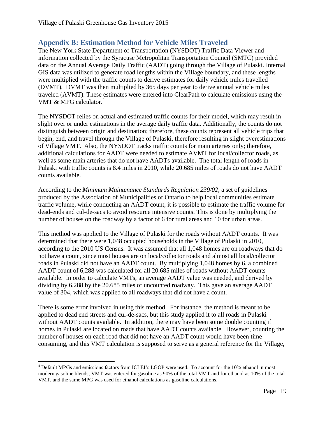## <span id="page-19-0"></span>**Appendix B: Estimation Method for Vehicle Miles Traveled**

The New York State Department of Transportation (NYSDOT) Traffic Data Viewer and information collected by the Syracuse Metropolitan Transportation Council (SMTC) provided data on the Annual Average Daily Traffic (AADT) going through the Village of Pulaski. Internal GIS data was utilized to generate road lengths within the Village boundary, and these lengths were multiplied with the traffic counts to derive estimates for daily vehicle miles travelled (DVMT). DVMT was then multiplied by 365 days per year to derive annual vehicle miles traveled (AVMT). These estimates were entered into ClearPath to calculate emissions using the VMT & MPG calculator.<sup>4</sup>

The NYSDOT relies on actual and estimated traffic counts for their model, which may result in slight over or under estimations in the average daily traffic data. Additionally, the counts do not distinguish between origin and destination; therefore, these counts represent all vehicle trips that begin, end, and travel through the Village of Pulaski, therefore resulting in slight overestimations of Village VMT. Also, the NYSDOT tracks traffic counts for main arteries only; therefore, additional calculations for AADT were needed to estimate AVMT for local/collector roads, as well as some main arteries that do not have AADTs available. The total length of roads in Pulaski with traffic counts is 8.4 miles in 2010, while 20.685 miles of roads do not have AADT counts available.

According to the *Minimum Maintenance Standards Regulation 239/02*, a set of guidelines produced by the Association of Municipalities of Ontario to help local communities estimate traffic volume, while conducting an AADT count, it is possible to estimate the traffic volume for dead-ends and cul-de-sacs to avoid resource intensive counts. This is done by multiplying the number of houses on the roadway by a factor of 6 for rural areas and 10 for urban areas.

This method was applied to the Village of Pulaski for the roads without AADT counts. It was determined that there were 1,048 occupied households in the Village of Pulaski in 2010, according to the 2010 US Census. It was assumed that all 1,048 homes are on roadways that do not have a count, since most houses are on local/collector roads and almost all local/collector roads in Pulaski did not have an AADT count. By multiplying 1,048 homes by 6, a combined AADT count of 6,288 was calculated for all 20.685 miles of roads without AADT counts available. In order to calculate VMTs, an average AADT value was needed, and derived by dividing by 6,288 by the 20.685 miles of uncounted roadway. This gave an average AADT value of 304, which was applied to all roadways that did not have a count.

There is some error involved in using this method. For instance, the method is meant to be applied to dead end streets and cul-de-sacs, but this study applied it to all roads in Pulaski without AADT counts available. In addition, there may have been some double counting if homes in Pulaski are located on roads that have AADT counts available. However, counting the number of houses on each road that did not have an AADT count would have been time consuming, and this VMT calculation is supposed to serve as a general reference for the Village,

 $\overline{\phantom{a}}$ 

<sup>4</sup> Default MPGs and emissions factors from ICLEI's LGOP were used. To account for the 10% ethanol in most modern gasoline blends, VMT was entered for gasoline as 90% of the total VMT and for ethanol as 10% of the total VMT, and the same MPG was used for ethanol calculations as gasoline calculations.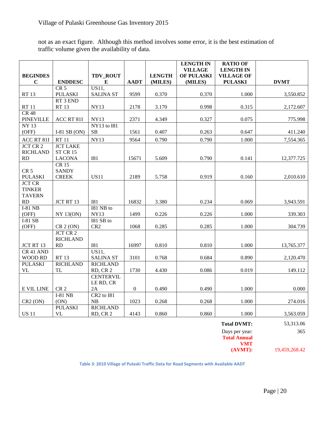not as an exact figure. Although this method involves some error, it is the best estimation of traffic volume given the availability of data.

|                                          |                                    |                                 |                  |               | <b>LENGTH IN</b><br><b>VILLAGE</b> | <b>RATIO OF</b><br><b>LENGTH IN</b> |               |
|------------------------------------------|------------------------------------|---------------------------------|------------------|---------------|------------------------------------|-------------------------------------|---------------|
| <b>BEGINDES</b>                          |                                    | TDV_ROUT                        |                  | <b>LENGTH</b> | OF PULASKI                         | <b>VILLAGE OF</b>                   |               |
| $\mathbf C$                              | <b>ENDDESC</b>                     | $\bf{E}$                        | <b>AADT</b>      | (MILES)       | (MILES)                            | <b>PULASKI</b>                      | <b>DVMT</b>   |
| <b>RT13</b>                              | CR <sub>5</sub><br><b>PULASKI</b>  | US11,<br><b>SALINA ST</b>       | 9599             | 0.370         | 0.370                              | 1.000                               | 3,550.852     |
| <b>RT11</b>                              | RT 3 END<br><b>RT13</b>            | <b>NY13</b>                     | 2178             | 3.170         | 0.998                              | 0.315                               | 2,172.607     |
| <b>CR 48</b><br><b>PINEVILLE</b>         | ACC RT 81I                         | <b>NY13</b>                     | 2371             | 4.349         | 0.327                              | 0.075                               | 775.998       |
| <b>NY 13</b><br>(OFF)                    | I-81 SB $(ON)$                     | <b>NY13</b> to 181<br><b>SB</b> | 1561             | 0.407         | 0.263                              | 0.647                               | 411.240       |
|                                          |                                    |                                 |                  |               |                                    |                                     |               |
| ACC RT 81I                               | <b>RT11</b>                        | <b>NY13</b>                     | 9564             | 0.790         | 0.790                              | 1.000                               | 7,554.365     |
| <b>JCT CR 2</b><br><b>RICHLAND</b><br>RD | <b>JCT LAKE</b><br><b>ST CR 15</b> | <b>I81</b>                      | 15671            | 5.609         | 0.790                              | 0.141                               |               |
|                                          | <b>LACONA</b><br><b>CR15</b>       |                                 |                  |               |                                    |                                     | 12,377.725    |
| CR <sub>5</sub><br><b>PULASKI</b>        | <b>SANDY</b><br><b>CREEK</b>       | <b>US11</b>                     | 2189             | 5.758         | 0.919                              | 0.160                               | 2,010.610     |
| <b>JCT CR</b>                            |                                    |                                 |                  |               |                                    |                                     |               |
| <b>TINKER</b>                            |                                    |                                 |                  |               |                                    |                                     |               |
| <b>TAVERN</b>                            |                                    |                                 |                  |               |                                    |                                     |               |
| RD                                       | JCT RT 13                          | <b>I81</b>                      | 16832            | 3.380         | 0.234                              | 0.069                               | 3,943.591     |
| $I-81$ NB                                |                                    | I81 NB to                       |                  |               |                                    |                                     |               |
| (OFF)<br>I-81 SB                         | <b>NY 13(ON)</b>                   | <b>NY13</b><br>I81 SB to        | 1499             | 0.226         | 0.226                              | 1.000                               | 339.303       |
| (OFF)                                    | CR 2 (ON)                          | CR <sub>2</sub>                 | 1068             | 0.285         | 0.285                              | 1.000                               | 304.739       |
|                                          | <b>JCT CR 2</b>                    |                                 |                  |               |                                    |                                     |               |
|                                          | <b>RICHLAND</b>                    |                                 |                  |               |                                    |                                     |               |
| JCT RT 13                                | RD                                 | <b>I81</b>                      | 16997            | 0.810         | 0.810                              | 1.000                               | 13,765.377    |
| CR 41 AND                                |                                    | US11,                           |                  |               |                                    |                                     |               |
| WOOD RD                                  | <b>RT13</b>                        | <b>SALINA ST</b>                | 3101             | 0.768         | 0.684                              | 0.890                               | 2,120.470     |
| <b>PULASKI</b>                           | <b>RICHLAND</b>                    | <b>RICHLAND</b>                 |                  |               |                                    |                                     |               |
| <b>VL</b>                                | <b>TL</b>                          | RD, CR 2                        | 1730             | 4.430         | 0.086                              | 0.019                               | 149.112       |
|                                          |                                    | <b>CENTERVIL</b><br>LE RD, CR   |                  |               |                                    |                                     |               |
| E VIL LINE                               | CR <sub>2</sub>                    | 2A                              | $\boldsymbol{0}$ | 0.490         | 0.490                              | 1.000                               | 0.000         |
|                                          | <b>I-81 NB</b>                     | CR2 to I81                      |                  |               |                                    |                                     |               |
| $CR2$ (ON)                               | (ON)                               | NB                              | 1023             | 0.268         | 0.268                              | 1.000                               | 274.016       |
|                                          | <b>PULASKI</b>                     | <b>RICHLAND</b>                 |                  |               |                                    |                                     |               |
| <b>US 11</b>                             | <b>VL</b>                          | RD, CR 2                        | 4143             | 0.860         | 0.860                              | 1.000                               | 3,563.059     |
|                                          |                                    |                                 |                  |               |                                    | <b>Total DVMT:</b>                  | 53,313.06     |
|                                          |                                    |                                 |                  |               |                                    | Days per year:                      | 365           |
|                                          |                                    |                                 |                  |               |                                    | <b>Total Annual</b>                 |               |
|                                          |                                    |                                 |                  |               |                                    | <b>VMT</b><br>(AVMT):               | 19,459,268.42 |
|                                          |                                    |                                 |                  |               |                                    |                                     |               |

**Table 3: 2010 Village of Pulaski Traffic Data for Road Segments with Available AADT**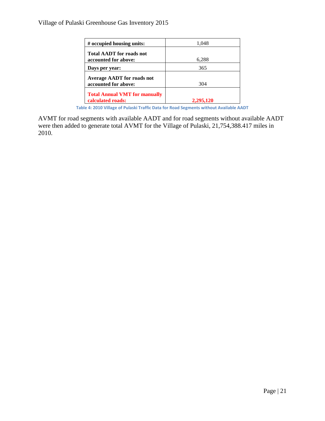| # occupied housing units:                                 | 1,048     |
|-----------------------------------------------------------|-----------|
| <b>Total AADT</b> for roads not                           |           |
| accounted for above:                                      | 6,288     |
| Days per year:                                            | 365       |
| <b>Average AADT</b> for roads not<br>accounted for above: | 304       |
| <b>Total Annual VMT for manually</b><br>calculated roads: | 2.295.120 |

**Table 4: 2010 Village of Pulaski Traffic Data for Road Segments without Available AADT**

AVMT for road segments with available AADT and for road segments without available AADT were then added to generate total AVMT for the Village of Pulaski, 21,754,388.417 miles in 2010.